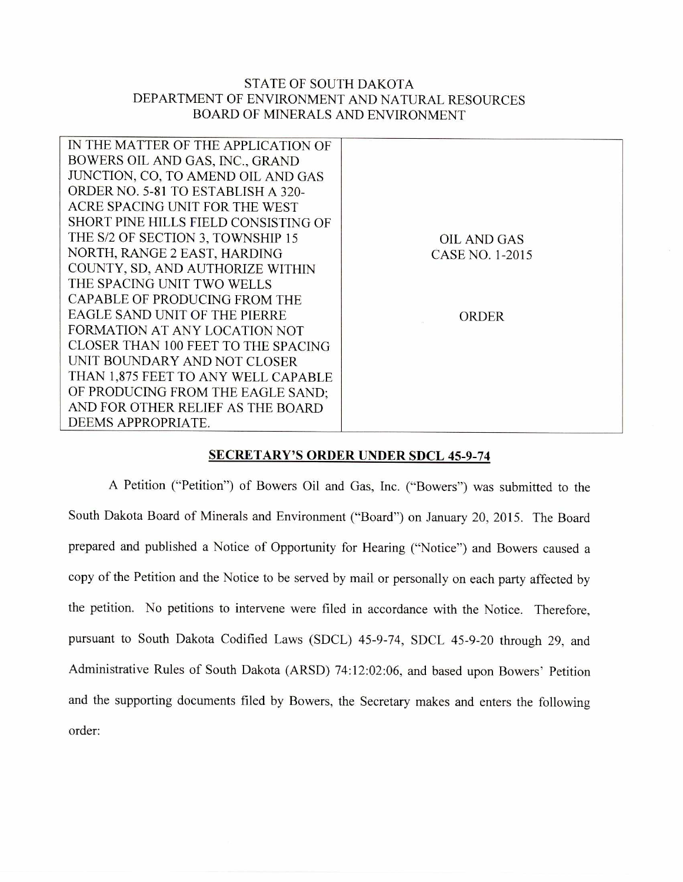## STATE OF SOUTH DAKOTA DEPARTMENT OF ENVIRONMENT AND NATURAL RESOURCES BOARD OF MINERALS AND ENVIRONMENT

| IN THE MATTER OF THE APPLICATION OF  |                 |
|--------------------------------------|-----------------|
| BOWERS OIL AND GAS, INC., GRAND      |                 |
| JUNCTION, CO, TO AMEND OIL AND GAS   |                 |
| ORDER NO. 5-81 TO ESTABLISH A 320-   |                 |
| ACRE SPACING UNIT FOR THE WEST       |                 |
| SHORT PINE HILLS FIELD CONSISTING OF |                 |
| THE S/2 OF SECTION 3, TOWNSHIP 15    | OIL AND GAS     |
| NORTH, RANGE 2 EAST, HARDING         | CASE NO. 1-2015 |
| COUNTY, SD, AND AUTHORIZE WITHIN     |                 |
| THE SPACING UNIT TWO WELLS           |                 |
| CAPABLE OF PRODUCING FROM THE        |                 |
| EAGLE SAND UNIT OF THE PIERRE        | ORDER           |
| FORMATION AT ANY LOCATION NOT        |                 |
| CLOSER THAN 100 FEET TO THE SPACING  |                 |
| UNIT BOUNDARY AND NOT CLOSER         |                 |
| THAN 1,875 FEET TO ANY WELL CAPABLE  |                 |
| OF PRODUCING FROM THE EAGLE SAND;    |                 |
| AND FOR OTHER RELIEF AS THE BOARD    |                 |
| DEEMS APPROPRIATE.                   |                 |

## **SECRETARY'S ORDER UNDER SDCL 45-9-74**

A Petition ("Petition") of Bowers Oil and Gas, Inc. ("Bowers") was submitted to the South Dakota Board of Minerals and Environment ("Board") on January 20, 2015. The Board prepared and published a Notice of Opportunity for Hearing ("Notice") and Bowers caused a copy of the Petition and the Notice to be served by mail or personally on each party affected by the petition. No petitions to intervene were filed in accordance with the Notice. Therefore, pursuant to South Dakota Codified Laws (SDCL) 45-9-74, SDCL 45-9-20 through 29, and Administrative Rules of South Dakota (ARSD) 74:12:02:06, and based upon Bowers' Petition and the supporting documents filed by Bowers, the Secretary makes and enters the following order: